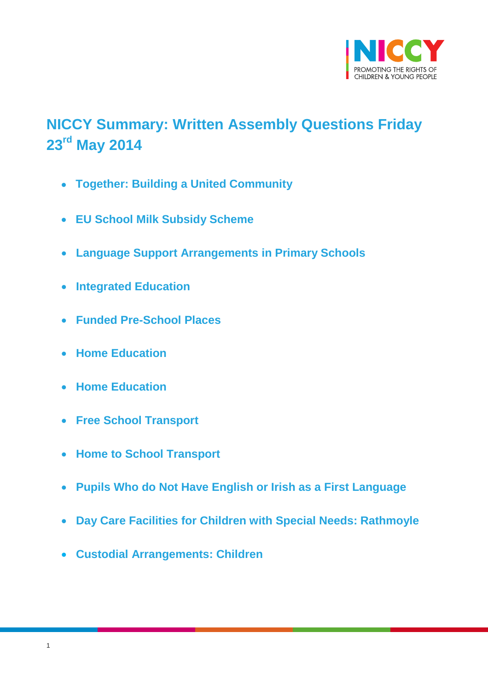

# <span id="page-0-0"></span>**NICCY Summary: Written Assembly Questions Friday 23rd May 2014**

- **[Together: Building a United Community](#page-1-0)**
- **EU School Milk [Subsidy Scheme](#page-3-0)**
- **[Language Support Arrangements in Primary Schools](#page-4-0)**
- **[Integrated Education](#page-5-0)**
- **[Funded Pre-School Places](#page-6-0)**
- **[Home Education](#page-7-0)**
- **[Home Education](#page-8-0)**
- **[Free School Transport](#page-9-0)**
- **[Home to School Transport](#page-9-1)**
- **[Pupils Who do Not Have English or Irish as a First Language](#page-10-0)**
- **[Day Care Facilities for Children with Special Needs: Rathmoyle](#page-13-0)**
- **[Custodial Arrangements: Children](#page-14-0)**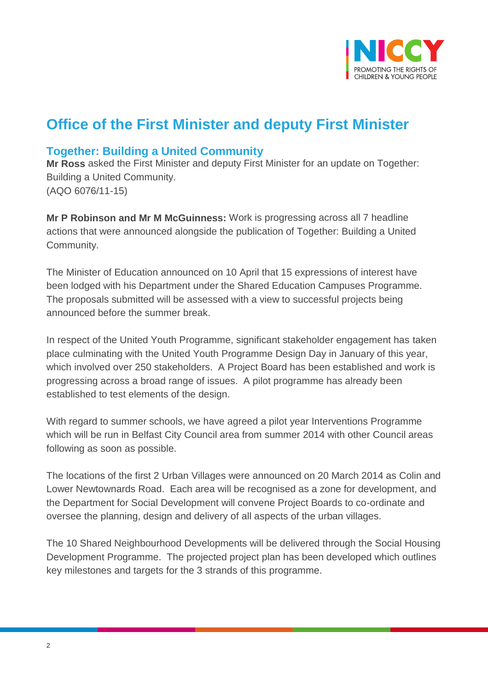

# **Office of the First Minister and deputy First Minister**

## <span id="page-1-0"></span>**Together: Building a United Community**

**Mr Ross** asked the First Minister and deputy First Minister for an update on Together: Building a United Community. (AQO 6076/11-15)

**Mr P Robinson and Mr M McGuinness:** Work is progressing across all 7 headline actions that were announced alongside the publication of Together: Building a United Community.

The Minister of Education announced on 10 April that 15 expressions of interest have been lodged with his Department under the Shared Education Campuses Programme. The proposals submitted will be assessed with a view to successful projects being announced before the summer break.

In respect of the United Youth Programme, significant stakeholder engagement has taken place culminating with the United Youth Programme Design Day in January of this year, which involved over 250 stakeholders. A Project Board has been established and work is progressing across a broad range of issues. A pilot programme has already been established to test elements of the design.

With regard to summer schools, we have agreed a pilot year Interventions Programme which will be run in Belfast City Council area from summer 2014 with other Council areas following as soon as possible.

The locations of the first 2 Urban Villages were announced on 20 March 2014 as Colin and Lower Newtownards Road. Each area will be recognised as a zone for development, and the Department for Social Development will convene Project Boards to co-ordinate and oversee the planning, design and delivery of all aspects of the urban villages.

The 10 Shared Neighbourhood Developments will be delivered through the Social Housing Development Programme. The projected project plan has been developed which outlines key milestones and targets for the 3 strands of this programme.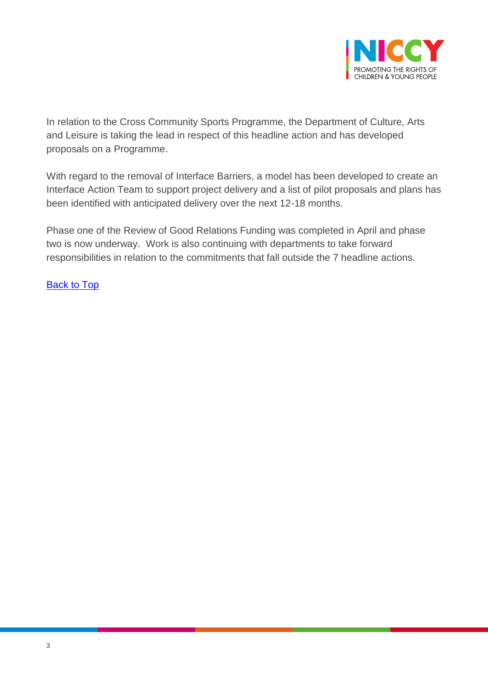

In relation to the Cross Community Sports Programme, the Department of Culture, Arts and Leisure is taking the lead in respect of this headline action and has developed proposals on a Programme.

With regard to the removal of Interface Barriers, a model has been developed to create an Interface Action Team to support project delivery and a list of pilot proposals and plans has been identified with anticipated delivery over the next 12-18 months.

Phase one of the Review of Good Relations Funding was completed in April and phase two is now underway. Work is also continuing with departments to take forward responsibilities in relation to the commitments that fall outside the 7 headline actions.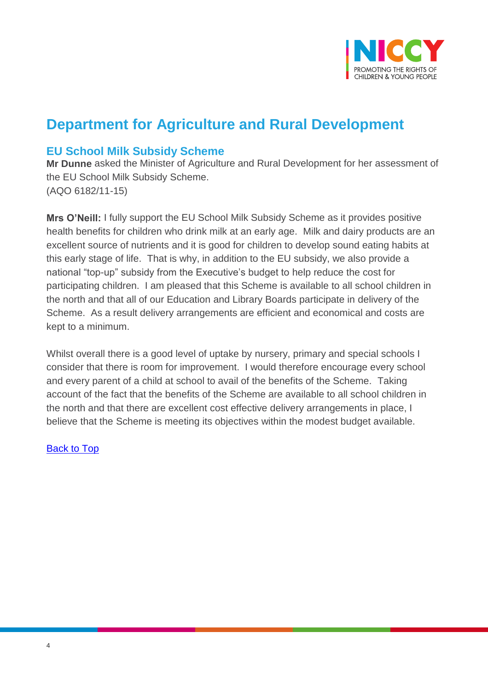

# **Department for Agriculture and Rural Development**

## <span id="page-3-0"></span>**EU School Milk Subsidy Scheme**

**Mr Dunne** asked the Minister of Agriculture and Rural Development for her assessment of the EU School Milk Subsidy Scheme. (AQO 6182/11-15)

**Mrs O'Neill:** I fully support the EU School Milk Subsidy Scheme as it provides positive health benefits for children who drink milk at an early age. Milk and dairy products are an excellent source of nutrients and it is good for children to develop sound eating habits at this early stage of life. That is why, in addition to the EU subsidy, we also provide a national "top-up" subsidy from the Executive's budget to help reduce the cost for participating children. I am pleased that this Scheme is available to all school children in the north and that all of our Education and Library Boards participate in delivery of the Scheme. As a result delivery arrangements are efficient and economical and costs are kept to a minimum.

Whilst overall there is a good level of uptake by nursery, primary and special schools I consider that there is room for improvement. I would therefore encourage every school and every parent of a child at school to avail of the benefits of the Scheme. Taking account of the fact that the benefits of the Scheme are available to all school children in the north and that there are excellent cost effective delivery arrangements in place, I believe that the Scheme is meeting its objectives within the modest budget available.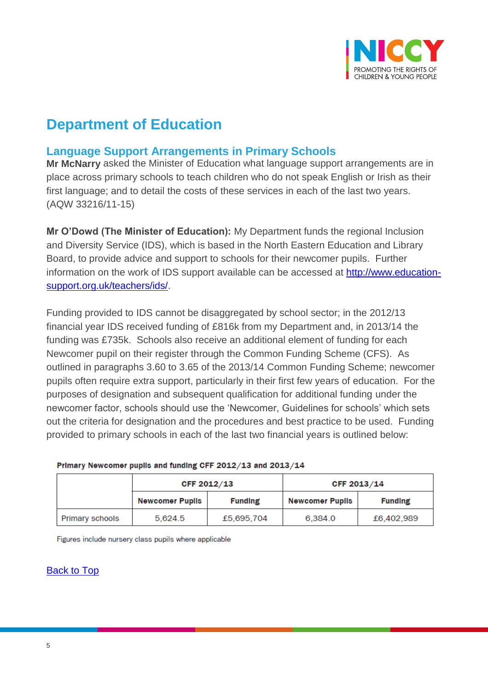

# **Department of Education**

## <span id="page-4-0"></span>**Language Support Arrangements in Primary Schools**

**Mr McNarry** asked the Minister of Education what language support arrangements are in place across primary schools to teach children who do not speak English or Irish as their first language; and to detail the costs of these services in each of the last two years. (AQW 33216/11-15)

**Mr O'Dowd (The Minister of Education):** My Department funds the regional Inclusion and Diversity Service (IDS), which is based in the North Eastern Education and Library Board, to provide advice and support to schools for their newcomer pupils. Further information on the work of IDS support available can be accessed at [http://www.education](http://www.education-support.org.uk/teachers/ids/)[support.org.uk/teachers/ids/.](http://www.education-support.org.uk/teachers/ids/)

Funding provided to IDS cannot be disaggregated by school sector; in the 2012/13 financial year IDS received funding of £816k from my Department and, in 2013/14 the funding was £735k. Schools also receive an additional element of funding for each Newcomer pupil on their register through the Common Funding Scheme (CFS). As outlined in paragraphs 3.60 to 3.65 of the 2013/14 Common Funding Scheme; newcomer pupils often require extra support, particularly in their first few years of education. For the purposes of designation and subsequent qualification for additional funding under the newcomer factor, schools should use the 'Newcomer, Guidelines for schools' which sets out the criteria for designation and the procedures and best practice to be used. Funding provided to primary schools in each of the last two financial years is outlined below:

|                 | CFF 2012/13            |                | CFF 2013/14            |                |
|-----------------|------------------------|----------------|------------------------|----------------|
|                 | <b>Newcomer Pupils</b> | <b>Funding</b> | <b>Newcomer Pupils</b> | <b>Funding</b> |
| Primary schools | 5.624.5                | £5,695,704     | 6.384.0                | £6,402,989     |

#### Primary Newcomer pupils and funding CFF 2012/13 and 2013/14

Figures include nursery class pupils where applicable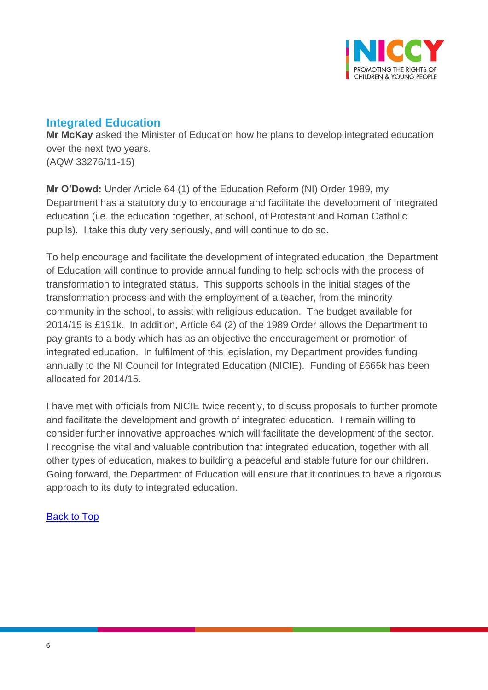

## <span id="page-5-0"></span>**Integrated Education**

**Mr McKay** asked the Minister of Education how he plans to develop integrated education over the next two years. (AQW 33276/11-15)

**Mr O'Dowd:** Under Article 64 (1) of the Education Reform (NI) Order 1989, my Department has a statutory duty to encourage and facilitate the development of integrated education (i.e. the education together, at school, of Protestant and Roman Catholic pupils). I take this duty very seriously, and will continue to do so.

To help encourage and facilitate the development of integrated education, the Department of Education will continue to provide annual funding to help schools with the process of transformation to integrated status. This supports schools in the initial stages of the transformation process and with the employment of a teacher, from the minority community in the school, to assist with religious education. The budget available for 2014/15 is £191k. In addition, Article 64 (2) of the 1989 Order allows the Department to pay grants to a body which has as an objective the encouragement or promotion of integrated education. In fulfilment of this legislation, my Department provides funding annually to the NI Council for Integrated Education (NICIE). Funding of £665k has been allocated for 2014/15.

I have met with officials from NICIE twice recently, to discuss proposals to further promote and facilitate the development and growth of integrated education. I remain willing to consider further innovative approaches which will facilitate the development of the sector. I recognise the vital and valuable contribution that integrated education, together with all other types of education, makes to building a peaceful and stable future for our children. Going forward, the Department of Education will ensure that it continues to have a rigorous approach to its duty to integrated education.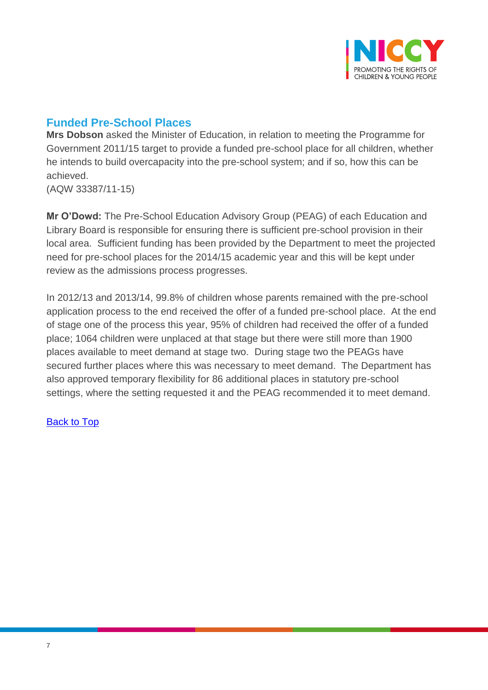

# <span id="page-6-0"></span>**Funded Pre-School Places**

**Mrs Dobson** asked the Minister of Education, in relation to meeting the Programme for Government 2011/15 target to provide a funded pre-school place for all children, whether he intends to build overcapacity into the pre-school system; and if so, how this can be achieved.

(AQW 33387/11-15)

**Mr O'Dowd:** The Pre-School Education Advisory Group (PEAG) of each Education and Library Board is responsible for ensuring there is sufficient pre-school provision in their local area. Sufficient funding has been provided by the Department to meet the projected need for pre-school places for the 2014/15 academic year and this will be kept under review as the admissions process progresses.

In 2012/13 and 2013/14, 99.8% of children whose parents remained with the pre-school application process to the end received the offer of a funded pre-school place. At the end of stage one of the process this year, 95% of children had received the offer of a funded place; 1064 children were unplaced at that stage but there were still more than 1900 places available to meet demand at stage two. During stage two the PEAGs have secured further places where this was necessary to meet demand. The Department has also approved temporary flexibility for 86 additional places in statutory pre-school settings, where the setting requested it and the PEAG recommended it to meet demand.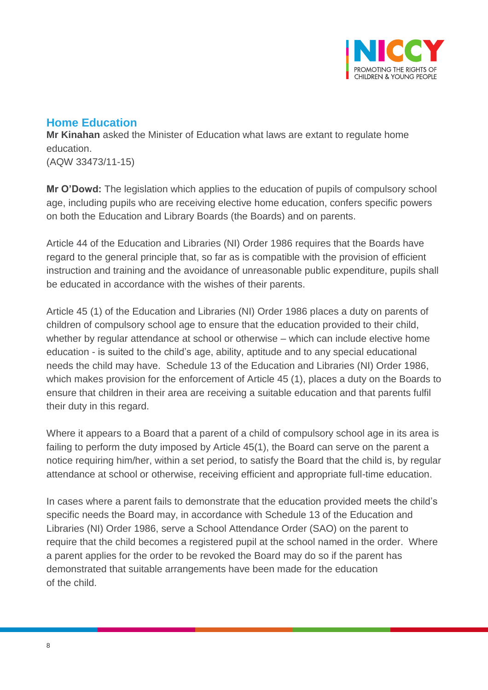

## <span id="page-7-0"></span>**Home Education**

**Mr Kinahan** asked the Minister of Education what laws are extant to regulate home education. (AQW 33473/11-15)

**Mr O'Dowd:** The legislation which applies to the education of pupils of compulsory school age, including pupils who are receiving elective home education, confers specific powers on both the Education and Library Boards (the Boards) and on parents.

Article 44 of the Education and Libraries (NI) Order 1986 requires that the Boards have regard to the general principle that, so far as is compatible with the provision of efficient instruction and training and the avoidance of unreasonable public expenditure, pupils shall be educated in accordance with the wishes of their parents.

Article 45 (1) of the Education and Libraries (NI) Order 1986 places a duty on parents of children of compulsory school age to ensure that the education provided to their child, whether by regular attendance at school or otherwise – which can include elective home education - is suited to the child's age, ability, aptitude and to any special educational needs the child may have. Schedule 13 of the Education and Libraries (NI) Order 1986, which makes provision for the enforcement of Article 45 (1), places a duty on the Boards to ensure that children in their area are receiving a suitable education and that parents fulfil their duty in this regard.

Where it appears to a Board that a parent of a child of compulsory school age in its area is failing to perform the duty imposed by Article 45(1), the Board can serve on the parent a notice requiring him/her, within a set period, to satisfy the Board that the child is, by regular attendance at school or otherwise, receiving efficient and appropriate full-time education.

In cases where a parent fails to demonstrate that the education provided meets the child's specific needs the Board may, in accordance with Schedule 13 of the Education and Libraries (NI) Order 1986, serve a School Attendance Order (SAO) on the parent to require that the child becomes a registered pupil at the school named in the order. Where a parent applies for the order to be revoked the Board may do so if the parent has demonstrated that suitable arrangements have been made for the education of the child.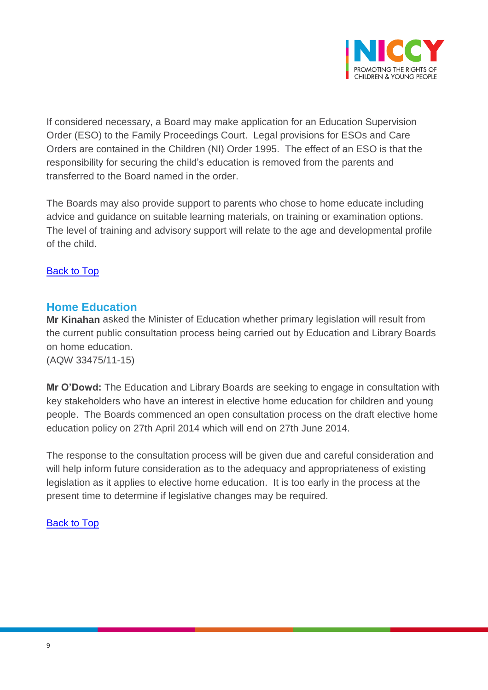

If considered necessary, a Board may make application for an Education Supervision Order (ESO) to the Family Proceedings Court. Legal provisions for ESOs and Care Orders are contained in the Children (NI) Order 1995. The effect of an ESO is that the responsibility for securing the child's education is removed from the parents and transferred to the Board named in the order.

The Boards may also provide support to parents who chose to home educate including advice and guidance on suitable learning materials, on training or examination options. The level of training and advisory support will relate to the age and developmental profile of the child.

[Back to Top](#page-0-0)

### <span id="page-8-0"></span>**Home Education**

**Mr Kinahan** asked the Minister of Education whether primary legislation will result from the current public consultation process being carried out by Education and Library Boards on home education. (AQW 33475/11-15)

**Mr O'Dowd:** The Education and Library Boards are seeking to engage in consultation with key stakeholders who have an interest in elective home education for children and young people. The Boards commenced an open consultation process on the draft elective home education policy on 27th April 2014 which will end on 27th June 2014.

The response to the consultation process will be given due and careful consideration and will help inform future consideration as to the adequacy and appropriateness of existing legislation as it applies to elective home education. It is too early in the process at the present time to determine if legislative changes may be required.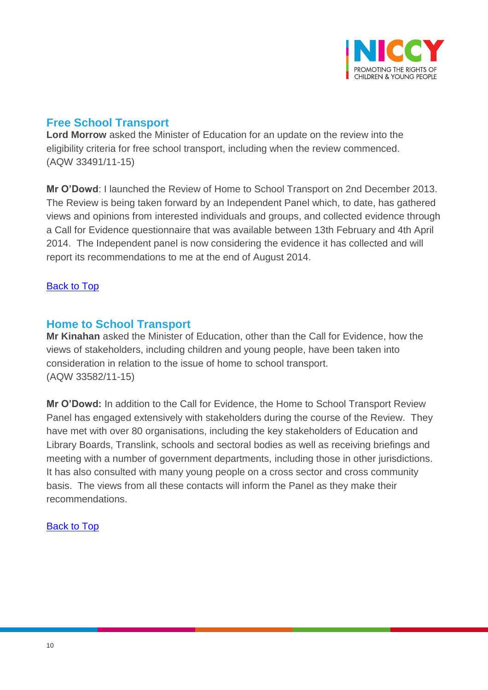

# <span id="page-9-0"></span>**Free School Transport**

**Lord Morrow** asked the Minister of Education for an update on the review into the eligibility criteria for free school transport, including when the review commenced. (AQW 33491/11-15)

**Mr O'Dowd**: I launched the Review of Home to School Transport on 2nd December 2013. The Review is being taken forward by an Independent Panel which, to date, has gathered views and opinions from interested individuals and groups, and collected evidence through a Call for Evidence questionnaire that was available between 13th February and 4th April 2014. The Independent panel is now considering the evidence it has collected and will report its recommendations to me at the end of August 2014.

### [Back to Top](#page-0-0)

### <span id="page-9-1"></span>**Home to School Transport**

**Mr Kinahan** asked the Minister of Education, other than the Call for Evidence, how the views of stakeholders, including children and young people, have been taken into consideration in relation to the issue of home to school transport. (AQW 33582/11-15)

**Mr O'Dowd:** In addition to the Call for Evidence, the Home to School Transport Review Panel has engaged extensively with stakeholders during the course of the Review. They have met with over 80 organisations, including the key stakeholders of Education and Library Boards, Translink, schools and sectoral bodies as well as receiving briefings and meeting with a number of government departments, including those in other jurisdictions. It has also consulted with many young people on a cross sector and cross community basis. The views from all these contacts will inform the Panel as they make their recommendations.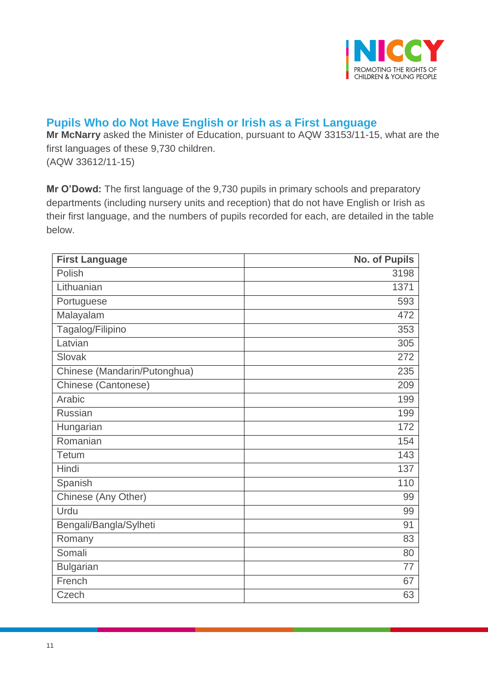

## <span id="page-10-0"></span>**Pupils Who do Not Have English or Irish as a First Language**

**Mr McNarry** asked the Minister of Education, pursuant to AQW 33153/11-15, what are the first languages of these 9,730 children. (AQW 33612/11-15)

**Mr O'Dowd:** The first language of the 9,730 pupils in primary schools and preparatory departments (including nursery units and reception) that do not have English or Irish as their first language, and the numbers of pupils recorded for each, are detailed in the table below.

| <b>First Language</b>        | <b>No. of Pupils</b> |
|------------------------------|----------------------|
| Polish                       | 3198                 |
| Lithuanian                   | 1371                 |
| Portuguese                   | 593                  |
| Malayalam                    | 472                  |
| Tagalog/Filipino             | 353                  |
| Latvian                      | 305                  |
| Slovak                       | 272                  |
| Chinese (Mandarin/Putonghua) | 235                  |
| Chinese (Cantonese)          | 209                  |
| Arabic                       | 199                  |
| <b>Russian</b>               | 199                  |
| Hungarian                    | 172                  |
| Romanian                     | 154                  |
| Tetum                        | 143                  |
| Hindi                        | 137                  |
| Spanish                      | 110                  |
| Chinese (Any Other)          | 99                   |
| Urdu                         | 99                   |
| Bengali/Bangla/Sylheti       | 91                   |
| Romany                       | 83                   |
| Somali                       | 80                   |
| <b>Bulgarian</b>             | 77                   |
| French                       | 67                   |
| Czech                        | 63                   |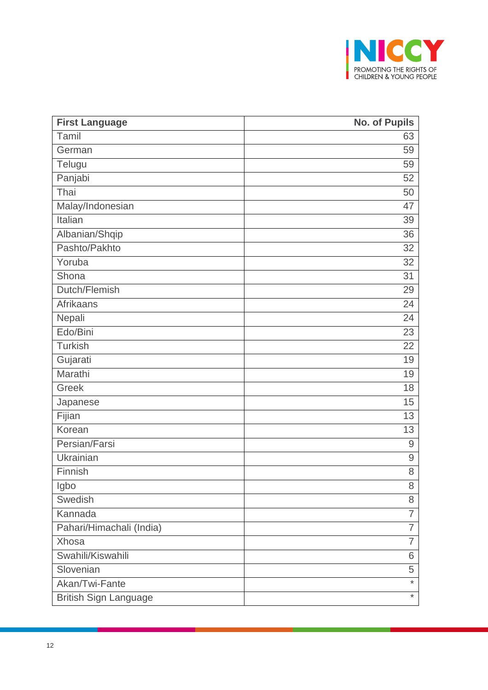

| <b>First Language</b>        | <b>No. of Pupils</b> |
|------------------------------|----------------------|
| Tamil                        | 63                   |
| German                       | 59                   |
| Telugu                       | 59                   |
| Panjabi                      | 52                   |
| Thai                         | 50                   |
| Malay/Indonesian             | 47                   |
| Italian                      | 39                   |
| Albanian/Shqip               | 36                   |
| Pashto/Pakhto                | 32                   |
| Yoruba                       | 32                   |
| Shona                        | 31                   |
| Dutch/Flemish                | 29                   |
| <b>Afrikaans</b>             | 24                   |
| Nepali                       | 24                   |
| Edo/Bini                     | 23                   |
| <b>Turkish</b>               | 22                   |
| Gujarati                     | 19                   |
| Marathi                      | 19                   |
| Greek                        | 18                   |
| Japanese                     | 15                   |
| Fijian                       | 13                   |
| Korean                       | 13                   |
| Persian/Farsi                | 9                    |
| Ukrainian                    | 9                    |
| Finnish                      | 8                    |
| Igbo                         | 8                    |
| Swedish                      | 8                    |
| Kannada                      | $\overline{7}$       |
| Pahari/Himachali (India)     | $\overline{7}$       |
| Xhosa                        | 7                    |
| Swahili/Kiswahili            | 6                    |
| Slovenian                    | 5                    |
| Akan/Twi-Fante               | $\star$              |
| <b>British Sign Language</b> | $^{\star}$           |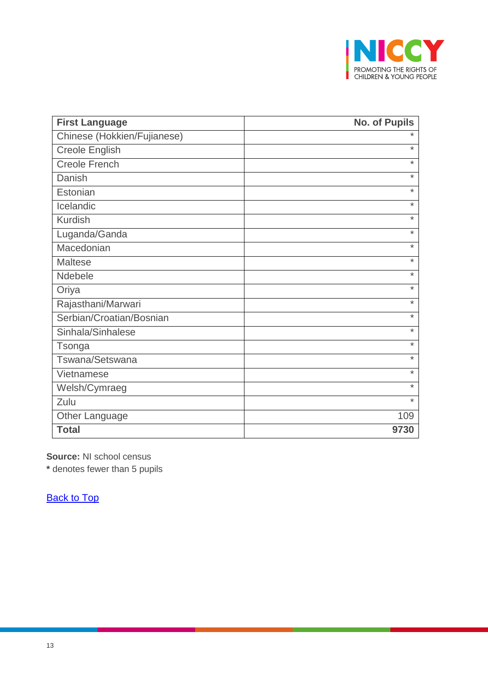

| <b>First Language</b>       | <b>No. of Pupils</b> |
|-----------------------------|----------------------|
| Chinese (Hokkien/Fujianese) | $\ast$               |
| Creole English              | $\star$              |
| <b>Creole French</b>        | $\star$              |
| Danish                      | $\star$              |
| Estonian                    | $\star$              |
| Icelandic                   | $\star$              |
| <b>Kurdish</b>              | $\star$              |
| Luganda/Ganda               | $\star$              |
| Macedonian                  | $\star$              |
| <b>Maltese</b>              | $\star$              |
| Ndebele                     | $\ast$               |
| Oriya                       | $\star$              |
| Rajasthani/Marwari          | $\star$              |
| Serbian/Croatian/Bosnian    | $\star$              |
| Sinhala/Sinhalese           | $\star$              |
| Tsonga                      | $\star$              |
| Tswana/Setswana             | $\star$              |
| Vietnamese                  | $\star$              |
| Welsh/Cymraeg               | $\star$              |
| Zulu                        | $\star$              |
| <b>Other Language</b>       | 109                  |
| <b>Total</b>                | 9730                 |

**Source:** NI school census

**\*** denotes fewer than 5 pupils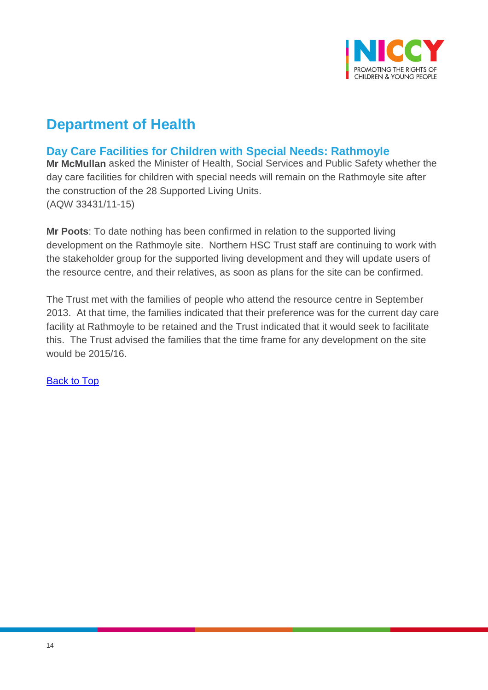

# **Department of Health**

# <span id="page-13-0"></span>**Day Care Facilities for Children with Special Needs: Rathmoyle**

**Mr McMullan** asked the Minister of Health, Social Services and Public Safety whether the day care facilities for children with special needs will remain on the Rathmoyle site after the construction of the 28 Supported Living Units. (AQW 33431/11-15)

**Mr Poots**: To date nothing has been confirmed in relation to the supported living development on the Rathmoyle site. Northern HSC Trust staff are continuing to work with the stakeholder group for the supported living development and they will update users of the resource centre, and their relatives, as soon as plans for the site can be confirmed.

The Trust met with the families of people who attend the resource centre in September 2013. At that time, the families indicated that their preference was for the current day care facility at Rathmoyle to be retained and the Trust indicated that it would seek to facilitate this. The Trust advised the families that the time frame for any development on the site would be 2015/16.